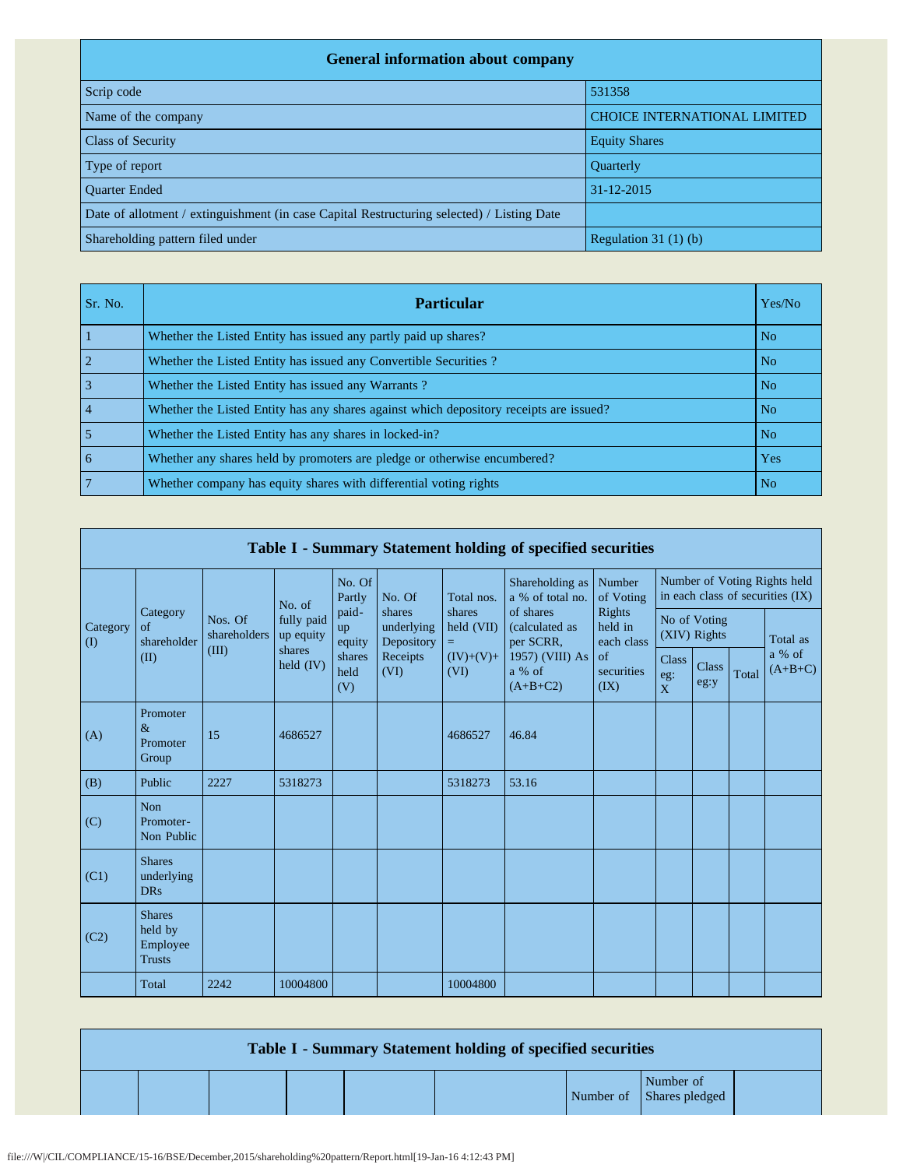| <b>General information about company</b>                                                   |                                     |  |  |  |  |  |  |  |
|--------------------------------------------------------------------------------------------|-------------------------------------|--|--|--|--|--|--|--|
| Scrip code                                                                                 | 531358                              |  |  |  |  |  |  |  |
| Name of the company                                                                        | <b>CHOICE INTERNATIONAL LIMITED</b> |  |  |  |  |  |  |  |
| <b>Class of Security</b>                                                                   | <b>Equity Shares</b>                |  |  |  |  |  |  |  |
| Type of report                                                                             | Quarterly                           |  |  |  |  |  |  |  |
| <b>Ouarter Ended</b>                                                                       | $31 - 12 - 2015$                    |  |  |  |  |  |  |  |
| Date of allotment / extinguishment (in case Capital Restructuring selected) / Listing Date |                                     |  |  |  |  |  |  |  |
| Shareholding pattern filed under                                                           | Regulation $31(1)(b)$               |  |  |  |  |  |  |  |

| Sr. No. | <b>Particular</b>                                                                      | Yes/No |
|---------|----------------------------------------------------------------------------------------|--------|
|         | Whether the Listed Entity has issued any partly paid up shares?                        | No.    |
|         | Whether the Listed Entity has issued any Convertible Securities?                       | No.    |
|         | Whether the Listed Entity has issued any Warrants?                                     | No.    |
|         | Whether the Listed Entity has any shares against which depository receipts are issued? | No.    |
|         | Whether the Listed Entity has any shares in locked-in?                                 | No.    |
| 6       | Whether any shares held by promoters are pledge or otherwise encumbered?               | Yes    |
|         | Whether company has equity shares with differential voting rights                      | No.    |

| Table I - Summary Statement holding of specified securities |                                                       |                                  |                                                |                       |                                                        |                                  |                                          |                                 |                                                                  |                      |       |                     |
|-------------------------------------------------------------|-------------------------------------------------------|----------------------------------|------------------------------------------------|-----------------------|--------------------------------------------------------|----------------------------------|------------------------------------------|---------------------------------|------------------------------------------------------------------|----------------------|-------|---------------------|
|                                                             |                                                       |                                  | No. of                                         | No. Of<br>Partly      | No. Of                                                 | Total nos.                       | Shareholding as<br>a % of total no.      | Number<br>of Voting             | Number of Voting Rights held<br>in each class of securities (IX) |                      |       |                     |
| Category<br>$\rm (I)$                                       | Category<br>of<br>shareholder<br>(II)                 | Nos. Of<br>shareholders<br>(III) | fully paid<br>up equity<br>shares<br>held (IV) | paid-<br>up<br>equity | shares<br>underlying<br>Depository<br>Receipts<br>(VI) | shares<br>held (VII)<br>$\equiv$ | of shares<br>(calculated as<br>per SCRR, | Rights<br>held in<br>each class | No of Voting<br>(XIV) Rights                                     |                      |       | Total as            |
|                                                             |                                                       |                                  |                                                | shares<br>held<br>(V) |                                                        | $(IV)+(V)+$<br>(VI)              | 1957) (VIII) As<br>a % of<br>$(A+B+C2)$  | of<br>securities<br>(IX)        | <b>Class</b><br>eg:<br>$\overline{X}$                            | <b>Class</b><br>eg:y | Total | a % of<br>$(A+B+C)$ |
| (A)                                                         | Promoter<br>$\&$<br>Promoter<br>Group                 | 15                               | 4686527                                        |                       |                                                        | 4686527                          | 46.84                                    |                                 |                                                                  |                      |       |                     |
| (B)                                                         | Public                                                | 2227                             | 5318273                                        |                       |                                                        | 5318273                          | 53.16                                    |                                 |                                                                  |                      |       |                     |
| (C)                                                         | <b>Non</b><br>Promoter-<br>Non Public                 |                                  |                                                |                       |                                                        |                                  |                                          |                                 |                                                                  |                      |       |                     |
| (C1)                                                        | <b>Shares</b><br>underlying<br><b>DRs</b>             |                                  |                                                |                       |                                                        |                                  |                                          |                                 |                                                                  |                      |       |                     |
| (C2)                                                        | <b>Shares</b><br>held by<br>Employee<br><b>Trusts</b> |                                  |                                                |                       |                                                        |                                  |                                          |                                 |                                                                  |                      |       |                     |
|                                                             | Total                                                 | 2242                             | 10004800                                       |                       |                                                        | 10004800                         |                                          |                                 |                                                                  |                      |       |                     |

| Table I - Summary Statement holding of specified securities |  |  |  |  |  |                                       |  |  |  |  |
|-------------------------------------------------------------|--|--|--|--|--|---------------------------------------|--|--|--|--|
|                                                             |  |  |  |  |  | Number of<br>Number of Shares pledged |  |  |  |  |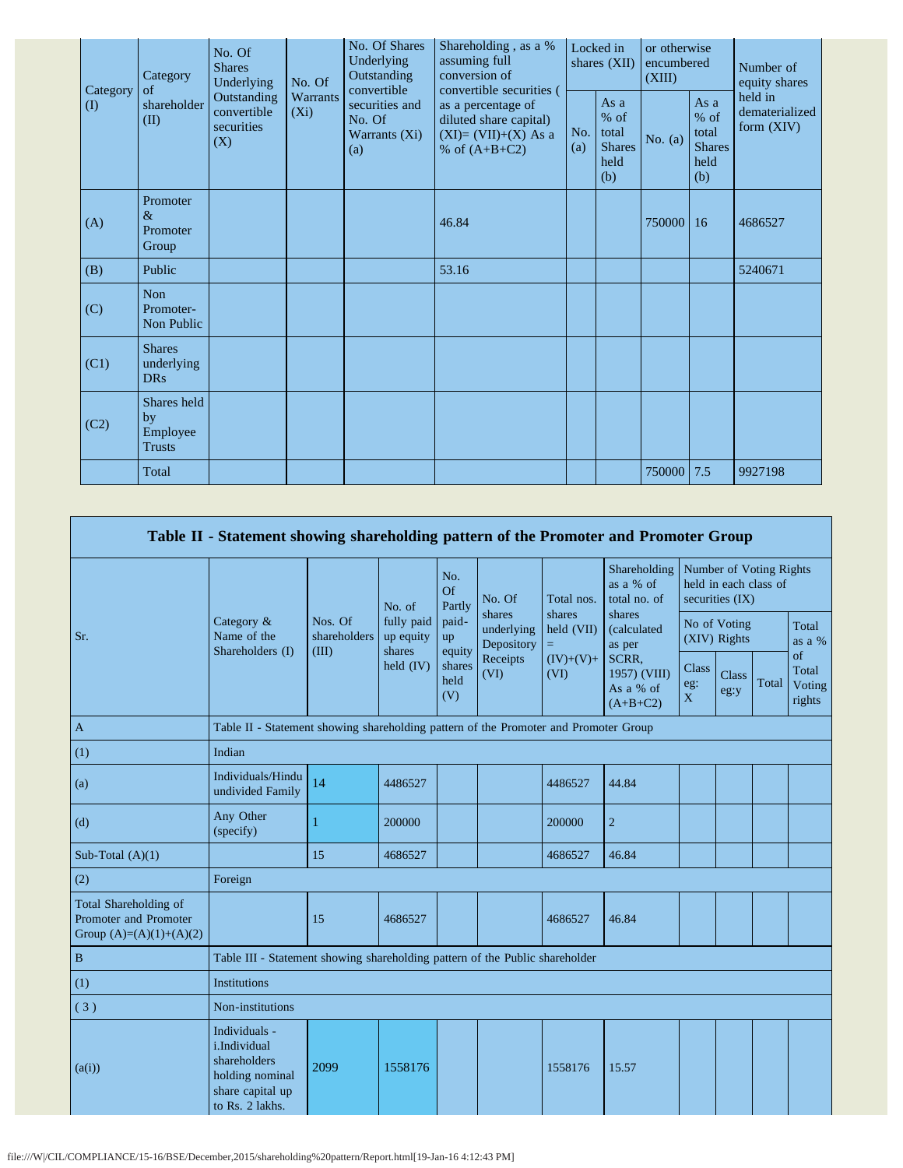|  | Category<br>$\rm(D)$ | Category<br>of<br>shareholder<br>(II)          | No. Of<br><b>Shares</b><br>Underlying<br>Outstanding<br>convertible<br>securities<br>(X) | No. Of              | No. Of Shares<br>Underlying<br>Outstanding<br>convertible<br>securities and<br>No. Of<br>Warrants (Xi)<br>(a) | Shareholding, as a %<br>assuming full<br>conversion of<br>convertible securities (       | Locked in<br>shares (XII) |                                                         | or otherwise<br>encumbered<br>(XIII) |                                                         | Number of<br>equity shares                |
|--|----------------------|------------------------------------------------|------------------------------------------------------------------------------------------|---------------------|---------------------------------------------------------------------------------------------------------------|------------------------------------------------------------------------------------------|---------------------------|---------------------------------------------------------|--------------------------------------|---------------------------------------------------------|-------------------------------------------|
|  |                      |                                                |                                                                                          | Warrants<br>$(X_i)$ |                                                                                                               | as a percentage of<br>diluted share capital)<br>$(XI)=(VII)+(X) As a$<br>% of $(A+B+C2)$ | No.<br>(a)                | As a<br>$%$ of<br>total<br><b>Shares</b><br>held<br>(b) | No. $(a)$                            | As a<br>$%$ of<br>total<br><b>Shares</b><br>held<br>(b) | held in<br>dematerialized<br>form $(XIV)$ |
|  | (A)                  | Promoter<br>$\&$<br>Promoter<br>Group          |                                                                                          |                     |                                                                                                               | 46.84                                                                                    |                           |                                                         | 750000 16                            |                                                         | 4686527                                   |
|  | (B)                  | Public                                         |                                                                                          |                     |                                                                                                               | 53.16                                                                                    |                           |                                                         |                                      |                                                         | 5240671                                   |
|  | (C)                  | Non<br>Promoter-<br>Non Public                 |                                                                                          |                     |                                                                                                               |                                                                                          |                           |                                                         |                                      |                                                         |                                           |
|  | (C1)                 | <b>Shares</b><br>underlying<br><b>DRs</b>      |                                                                                          |                     |                                                                                                               |                                                                                          |                           |                                                         |                                      |                                                         |                                           |
|  | (C2)                 | Shares held<br>by<br>Employee<br><b>Trusts</b> |                                                                                          |                     |                                                                                                               |                                                                                          |                           |                                                         |                                      |                                                         |                                           |
|  |                      | Total                                          |                                                                                          |                     |                                                                                                               |                                                                                          |                           |                                                         | 750000 7.5                           |                                                         | 9927198                                   |

|                                                                             | Table II - Statement showing shareholding pattern of the Promoter and Promoter Group                    |                                                                                      |                                   |                       |                                              |                                          |                                                                           |                                                                     |               |       |                                 |
|-----------------------------------------------------------------------------|---------------------------------------------------------------------------------------------------------|--------------------------------------------------------------------------------------|-----------------------------------|-----------------------|----------------------------------------------|------------------------------------------|---------------------------------------------------------------------------|---------------------------------------------------------------------|---------------|-------|---------------------------------|
|                                                                             |                                                                                                         |                                                                                      | No. of                            | No.<br>Of<br>Partly   | No. Of<br>shares                             | Total nos.<br>shares                     | Shareholding<br>as a % of<br>total no. of<br>shares                       | Number of Voting Rights<br>held in each class of<br>securities (IX) |               |       |                                 |
| Sr.                                                                         | Category &<br>Name of the<br>Shareholders (I)                                                           | Nos. Of<br>shareholders<br>(III)                                                     | fully paid<br>up equity<br>shares | paid-<br>up<br>equity | underlying<br>Depository<br>Receipts<br>(VI) | held (VII)<br>$=$<br>$(IV)+(V)+$<br>(VI) | (calculated<br>as per<br>SCRR,<br>1957) (VIII)<br>As a % of<br>$(A+B+C2)$ | No of Voting<br>(XIV) Rights                                        |               |       | Total<br>as a %                 |
| $\mathbf{A}$                                                                |                                                                                                         |                                                                                      | held $(IV)$                       | shares<br>held<br>(V) |                                              |                                          |                                                                           | <b>Class</b><br>$\mathrm{eg}\colon$<br>X                            | Class<br>eg:y | Total | of<br>Total<br>Voting<br>rights |
|                                                                             |                                                                                                         | Table II - Statement showing shareholding pattern of the Promoter and Promoter Group |                                   |                       |                                              |                                          |                                                                           |                                                                     |               |       |                                 |
| (1)                                                                         | Indian                                                                                                  |                                                                                      |                                   |                       |                                              |                                          |                                                                           |                                                                     |               |       |                                 |
| (a)                                                                         | Individuals/Hindu<br>undivided Family                                                                   | 14                                                                                   | 4486527                           |                       |                                              | 4486527                                  | 44.84                                                                     |                                                                     |               |       |                                 |
| (d)                                                                         | Any Other<br>(specify)                                                                                  | 1                                                                                    | 200000                            |                       |                                              | 200000                                   | $\overline{c}$                                                            |                                                                     |               |       |                                 |
| Sub-Total $(A)(1)$                                                          |                                                                                                         | 15                                                                                   | 4686527                           |                       |                                              | 4686527                                  | 46.84                                                                     |                                                                     |               |       |                                 |
| (2)                                                                         | Foreign                                                                                                 |                                                                                      |                                   |                       |                                              |                                          |                                                                           |                                                                     |               |       |                                 |
| Total Shareholding of<br>Promoter and Promoter<br>Group $(A)=(A)(1)+(A)(2)$ |                                                                                                         | 15                                                                                   | 4686527                           |                       |                                              | 4686527                                  | 46.84                                                                     |                                                                     |               |       |                                 |
| $\, {\bf B}$                                                                | Table III - Statement showing shareholding pattern of the Public shareholder                            |                                                                                      |                                   |                       |                                              |                                          |                                                                           |                                                                     |               |       |                                 |
| (1)                                                                         | <b>Institutions</b>                                                                                     |                                                                                      |                                   |                       |                                              |                                          |                                                                           |                                                                     |               |       |                                 |
| (3)                                                                         | Non-institutions                                                                                        |                                                                                      |                                   |                       |                                              |                                          |                                                                           |                                                                     |               |       |                                 |
| (a(i))                                                                      | Individuals -<br>i.Individual<br>shareholders<br>holding nominal<br>share capital up<br>to Rs. 2 lakhs. | 2099                                                                                 | 1558176                           |                       |                                              | 1558176                                  | 15.57                                                                     |                                                                     |               |       |                                 |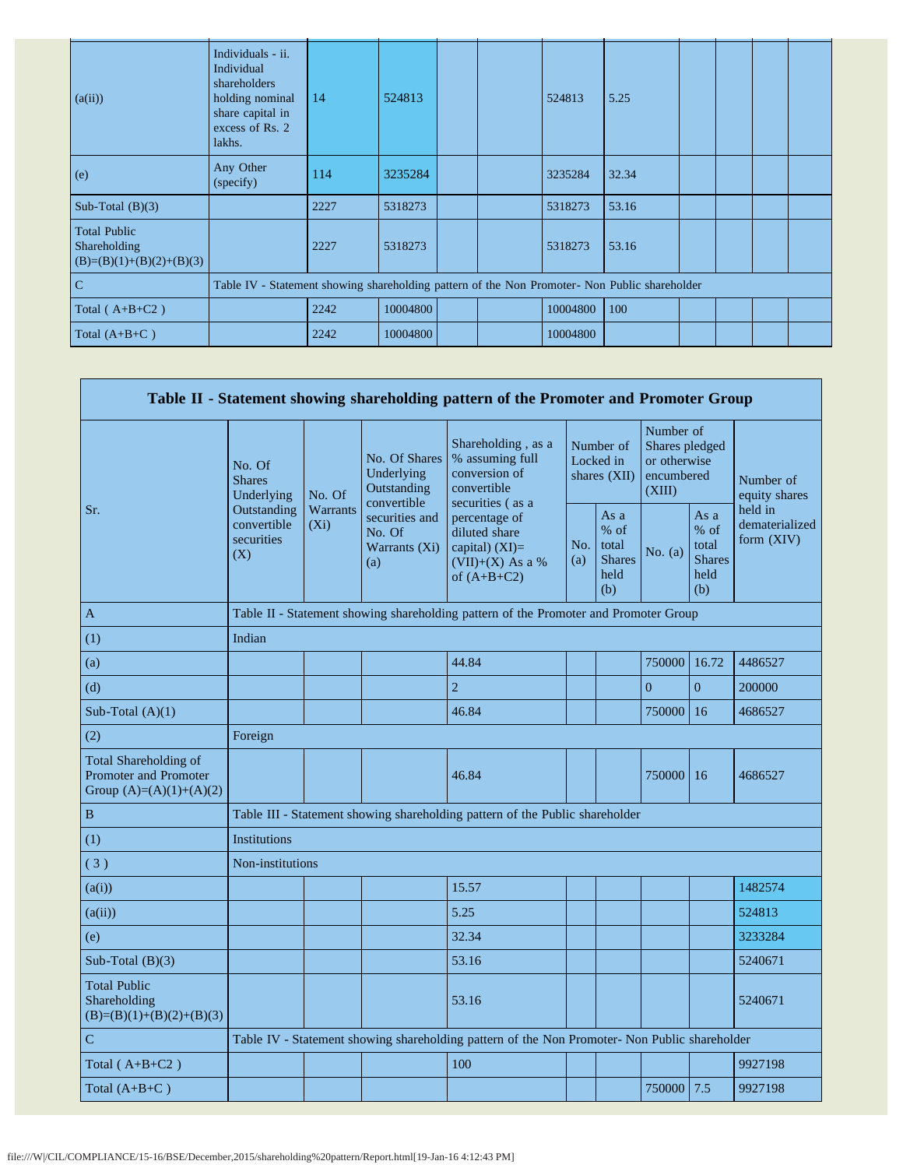| (a(ii))                                                           | Individuals - ii.<br>Individual<br>shareholders<br>holding nominal<br>share capital in<br>excess of Rs. 2<br>lakhs. | 14   | 524813   |  | 524813   | 5.25  |  |  |
|-------------------------------------------------------------------|---------------------------------------------------------------------------------------------------------------------|------|----------|--|----------|-------|--|--|
| (e)                                                               | Any Other<br>(specify)                                                                                              | 114  | 3235284  |  | 3235284  | 32.34 |  |  |
| Sub-Total $(B)(3)$                                                |                                                                                                                     | 2227 | 5318273  |  | 5318273  | 53.16 |  |  |
| <b>Total Public</b><br>Shareholding<br>$(B)=(B)(1)+(B)(2)+(B)(3)$ |                                                                                                                     | 2227 | 5318273  |  | 5318273  | 53.16 |  |  |
| $\overline{C}$                                                    | Table IV - Statement showing shareholding pattern of the Non Promoter- Non Public shareholder                       |      |          |  |          |       |  |  |
| Total $(A+B+C2)$                                                  |                                                                                                                     | 2242 | 10004800 |  | 10004800 | 100   |  |  |
| Total $(A+B+C)$                                                   |                                                                                                                     | 2242 | 10004800 |  | 10004800 |       |  |  |

|                                                                             |                                                                                               |                                                                         |                                                           | Table II - Statement showing shareholding pattern of the Promoter and Promoter Group      |                                        |                                                       |                                                                     |                                                       |                                         |  |  |
|-----------------------------------------------------------------------------|-----------------------------------------------------------------------------------------------|-------------------------------------------------------------------------|-----------------------------------------------------------|-------------------------------------------------------------------------------------------|----------------------------------------|-------------------------------------------------------|---------------------------------------------------------------------|-------------------------------------------------------|-----------------------------------------|--|--|
|                                                                             | No. Of<br><b>Shares</b><br>Underlying                                                         | No. Of                                                                  | No. Of Shares<br>Underlying<br>Outstanding<br>convertible | Shareholding, as a<br>% assuming full<br>conversion of<br>convertible<br>securities (as a | Number of<br>Locked in<br>shares (XII) |                                                       | Number of<br>Shares pledged<br>or otherwise<br>encumbered<br>(XIII) |                                                       | Number of<br>equity shares              |  |  |
| Sr.                                                                         | Outstanding<br>convertible<br>securities<br>(X)                                               | Warrants<br>securities and<br>$(X_i)$<br>No. Of<br>Warrants (Xi)<br>(a) |                                                           | percentage of<br>diluted share<br>capital) $(XI)=$<br>$(VII)+(X)$ As a %<br>of $(A+B+C2)$ | No.<br>(a)                             | As a<br>% of<br>total<br><b>Shares</b><br>held<br>(b) | No. $(a)$                                                           | As a<br>% of<br>total<br><b>Shares</b><br>held<br>(b) | held in<br>dematerialized<br>form (XIV) |  |  |
| A                                                                           |                                                                                               |                                                                         |                                                           | Table II - Statement showing shareholding pattern of the Promoter and Promoter Group      |                                        |                                                       |                                                                     |                                                       |                                         |  |  |
| (1)                                                                         | Indian                                                                                        |                                                                         |                                                           |                                                                                           |                                        |                                                       |                                                                     |                                                       |                                         |  |  |
| (a)                                                                         |                                                                                               |                                                                         |                                                           | 44.84                                                                                     |                                        |                                                       | 750000                                                              | 16.72                                                 | 4486527                                 |  |  |
| (d)                                                                         |                                                                                               |                                                                         |                                                           | $\overline{2}$                                                                            |                                        |                                                       | $\overline{0}$                                                      | $\overline{0}$                                        | 200000                                  |  |  |
| Sub-Total $(A)(1)$                                                          |                                                                                               |                                                                         |                                                           | 46.84                                                                                     |                                        |                                                       | 750000                                                              | 16                                                    | 4686527                                 |  |  |
| (2)                                                                         | Foreign                                                                                       |                                                                         |                                                           |                                                                                           |                                        |                                                       |                                                                     |                                                       |                                         |  |  |
| Total Shareholding of<br>Promoter and Promoter<br>Group $(A)=(A)(1)+(A)(2)$ |                                                                                               |                                                                         |                                                           | 46.84                                                                                     |                                        |                                                       | 750000                                                              | 16                                                    | 4686527                                 |  |  |
| $\, {\bf B}$                                                                |                                                                                               |                                                                         |                                                           | Table III - Statement showing shareholding pattern of the Public shareholder              |                                        |                                                       |                                                                     |                                                       |                                         |  |  |
| (1)                                                                         | <b>Institutions</b>                                                                           |                                                                         |                                                           |                                                                                           |                                        |                                                       |                                                                     |                                                       |                                         |  |  |
| (3)                                                                         | Non-institutions                                                                              |                                                                         |                                                           |                                                                                           |                                        |                                                       |                                                                     |                                                       |                                         |  |  |
| (a(i))                                                                      |                                                                                               |                                                                         |                                                           | 15.57                                                                                     |                                        |                                                       |                                                                     |                                                       | 1482574                                 |  |  |
| (a(ii))                                                                     |                                                                                               |                                                                         |                                                           | 5.25                                                                                      |                                        |                                                       |                                                                     |                                                       | 524813                                  |  |  |
| (e)                                                                         |                                                                                               |                                                                         |                                                           | 32.34                                                                                     |                                        |                                                       |                                                                     |                                                       | 3233284                                 |  |  |
| Sub-Total $(B)(3)$                                                          |                                                                                               |                                                                         |                                                           | 53.16                                                                                     |                                        |                                                       |                                                                     |                                                       | 5240671                                 |  |  |
| <b>Total Public</b><br>Shareholding<br>$(B)=(B)(1)+(B)(2)+(B)(3)$           |                                                                                               |                                                                         |                                                           | 53.16                                                                                     |                                        |                                                       |                                                                     |                                                       | 5240671                                 |  |  |
| $\mathbf C$                                                                 | Table IV - Statement showing shareholding pattern of the Non Promoter- Non Public shareholder |                                                                         |                                                           |                                                                                           |                                        |                                                       |                                                                     |                                                       |                                         |  |  |
| Total $(A+B+C2)$                                                            |                                                                                               |                                                                         |                                                           | 100                                                                                       |                                        |                                                       |                                                                     |                                                       | 9927198                                 |  |  |
| Total $(A+B+C)$                                                             |                                                                                               |                                                                         |                                                           |                                                                                           |                                        |                                                       | 750000                                                              | 7.5                                                   | 9927198                                 |  |  |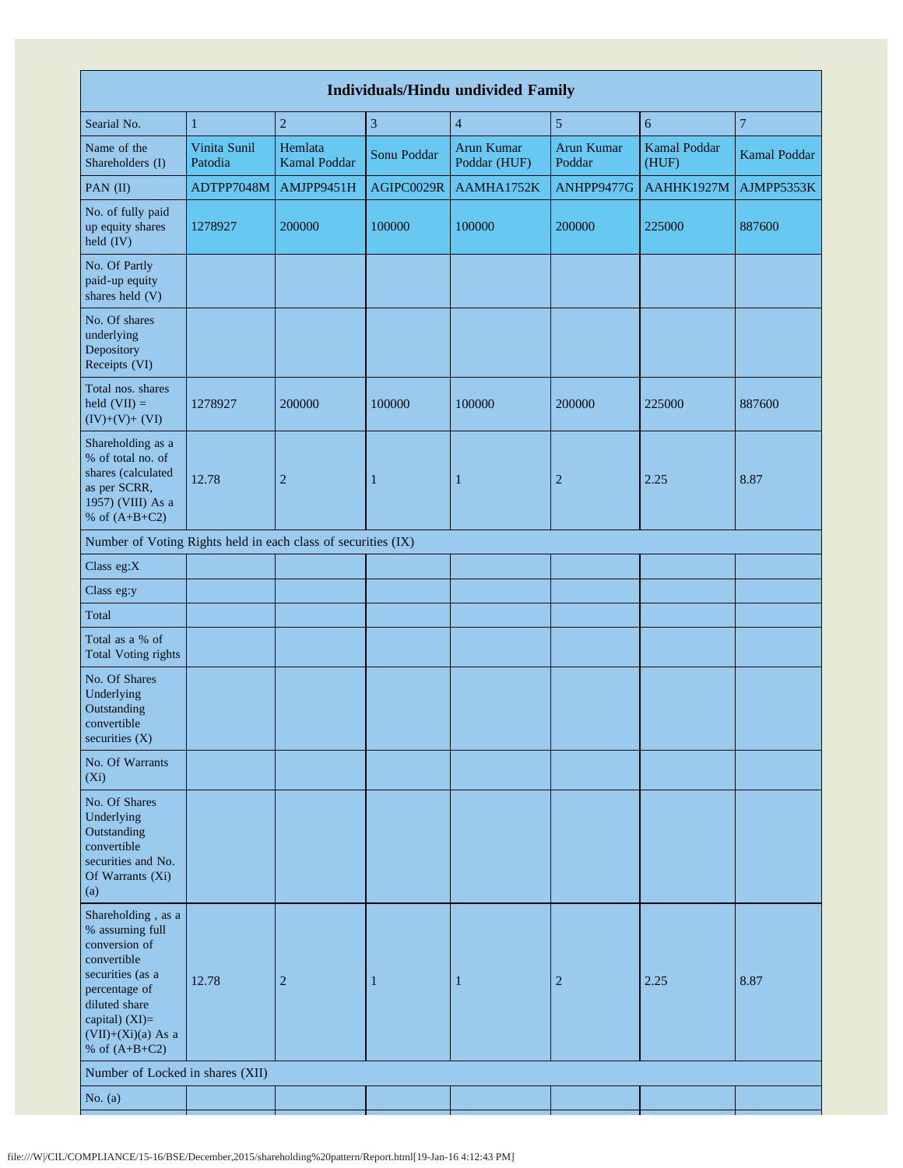| <b>Individuals/Hindu undivided Family</b>                                                                                                                                                |                         |                                |                |                            |                      |                       |                  |  |  |  |  |  |
|------------------------------------------------------------------------------------------------------------------------------------------------------------------------------------------|-------------------------|--------------------------------|----------------|----------------------------|----------------------|-----------------------|------------------|--|--|--|--|--|
| Searial No.                                                                                                                                                                              | $\mathbf{1}$            | $\sqrt{2}$                     | $\mathfrak{Z}$ | $\overline{4}$             | $\sqrt{5}$           | $\sqrt{6}$            | $\boldsymbol{7}$ |  |  |  |  |  |
| Name of the<br>Shareholders (I)                                                                                                                                                          | Vinita Sunil<br>Patodia | Hemlata<br><b>Kamal Poddar</b> | Sonu Poddar    | Arun Kumar<br>Poddar (HUF) | Arun Kumar<br>Poddar | Kamal Poddar<br>(HUF) | Kamal Poddar     |  |  |  |  |  |
| PAN (II)                                                                                                                                                                                 | ADTPP7048M              | AMJPP9451H                     | AGIPC0029R     | AAMHA1752K                 | ANHPP9477G           | AAHHK1927M            | AJMPP5353K       |  |  |  |  |  |
| No. of fully paid<br>up equity shares<br>held (IV)                                                                                                                                       | 1278927                 | 200000                         | 100000         | 100000                     | 200000               | 225000                | 887600           |  |  |  |  |  |
| No. Of Partly<br>paid-up equity<br>shares held (V)                                                                                                                                       |                         |                                |                |                            |                      |                       |                  |  |  |  |  |  |
| No. Of shares<br>underlying<br>Depository<br>Receipts (VI)                                                                                                                               |                         |                                |                |                            |                      |                       |                  |  |  |  |  |  |
| Total nos. shares<br>held $(VII) =$<br>$(IV)+(V)+(VI)$                                                                                                                                   | 1278927                 | 200000                         | 100000         | 100000                     | 200000               | 225000                | 887600           |  |  |  |  |  |
| Shareholding as a<br>% of total no. of<br>shares (calculated<br>as per SCRR,<br>1957) (VIII) As a<br>% of $(A+B+C2)$                                                                     | 12.78                   | $\overline{2}$                 | 1              | 1                          | $\overline{2}$       | 2.25                  | 8.87             |  |  |  |  |  |
| Number of Voting Rights held in each class of securities (IX)                                                                                                                            |                         |                                |                |                            |                      |                       |                  |  |  |  |  |  |
| Class eg:X                                                                                                                                                                               |                         |                                |                |                            |                      |                       |                  |  |  |  |  |  |
| Class eg:y                                                                                                                                                                               |                         |                                |                |                            |                      |                       |                  |  |  |  |  |  |
| Total                                                                                                                                                                                    |                         |                                |                |                            |                      |                       |                  |  |  |  |  |  |
| Total as a % of<br><b>Total Voting rights</b>                                                                                                                                            |                         |                                |                |                            |                      |                       |                  |  |  |  |  |  |
| No. Of Shares<br>Underlying<br>Outstanding<br>convertible<br>securities $(X)$                                                                                                            |                         |                                |                |                            |                      |                       |                  |  |  |  |  |  |
| No. Of Warrants<br>$(X_i)$                                                                                                                                                               |                         |                                |                |                            |                      |                       |                  |  |  |  |  |  |
| No. Of Shares<br>Underlying<br>Outstanding<br>convertible<br>securities and No.<br>Of Warrants (Xi)<br>(a)                                                                               |                         |                                |                |                            |                      |                       |                  |  |  |  |  |  |
| Shareholding, as a<br>% assuming full<br>conversion of<br>convertible<br>securities (as a<br>percentage of<br>diluted share<br>capital) (XI)=<br>$(VII)+(Xi)(a)$ As a<br>% of $(A+B+C2)$ | 12.78                   | $\overline{2}$                 | $\mathbf{1}$   | $\mathbf{1}$               | $\overline{2}$       | 2.25                  | 8.87             |  |  |  |  |  |
| Number of Locked in shares (XII)                                                                                                                                                         |                         |                                |                |                            |                      |                       |                  |  |  |  |  |  |
| No. $(a)$                                                                                                                                                                                |                         |                                |                |                            |                      |                       |                  |  |  |  |  |  |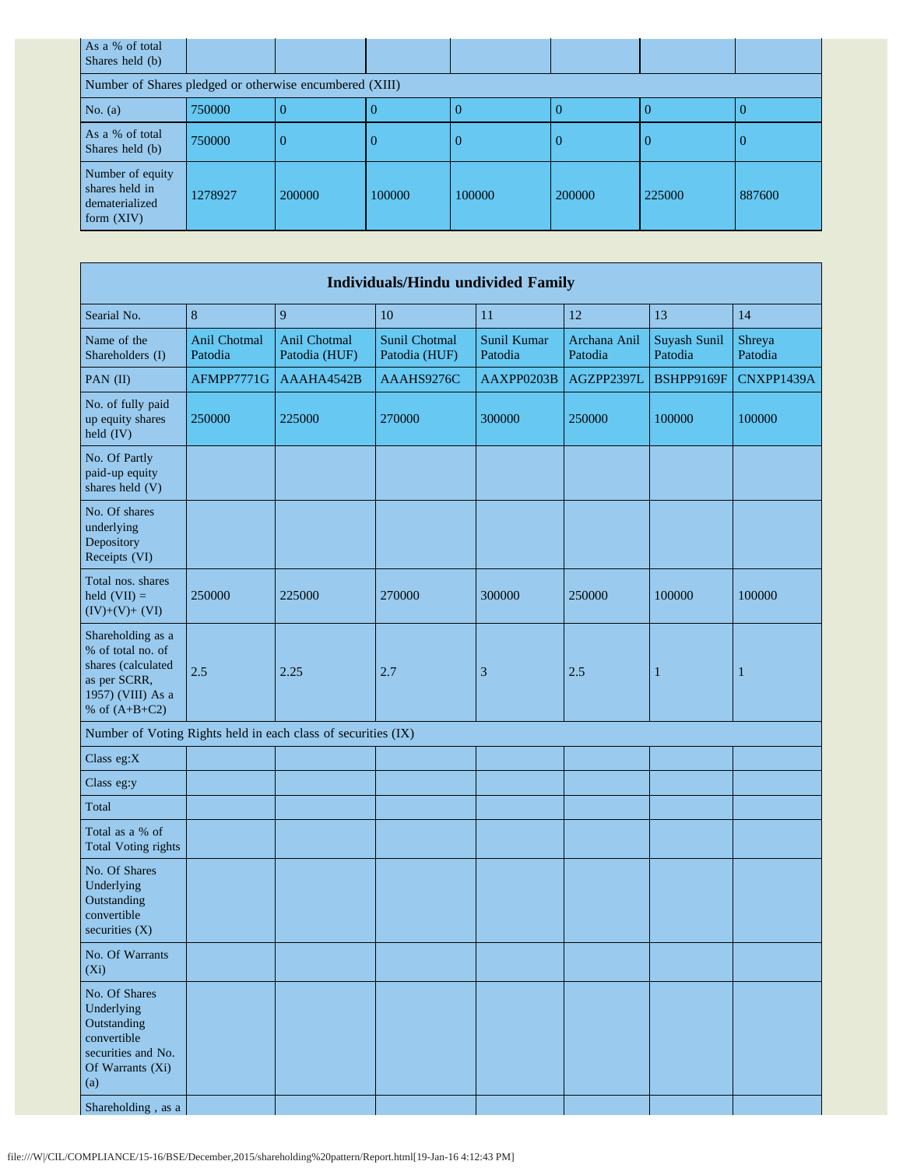| As a % of total<br>Shares held (b)                                   |         |        |        |        |        |        |        |  |  |  |  |
|----------------------------------------------------------------------|---------|--------|--------|--------|--------|--------|--------|--|--|--|--|
| Number of Shares pledged or otherwise encumbered (XIII)              |         |        |        |        |        |        |        |  |  |  |  |
| No. $(a)$                                                            | 750000  |        |        |        | O      |        |        |  |  |  |  |
| As a % of total<br>Shares held (b)                                   | 750000  |        |        | O      | 0      | -0     |        |  |  |  |  |
| Number of equity<br>shares held in<br>dematerialized<br>form $(XIV)$ | 1278927 | 200000 | 100000 | 100000 | 200000 | 225000 | 887600 |  |  |  |  |

| <b>Individuals/Hindu undivided Family</b>                                                                                        |                         |                               |                                       |                        |                         |                         |                   |  |  |  |  |  |
|----------------------------------------------------------------------------------------------------------------------------------|-------------------------|-------------------------------|---------------------------------------|------------------------|-------------------------|-------------------------|-------------------|--|--|--|--|--|
| Searial No.                                                                                                                      | $8\phantom{1}$          | 9                             | 10                                    | 11                     | 12                      | 13                      | 14                |  |  |  |  |  |
| Name of the<br>Shareholders (I)                                                                                                  | Anil Chotmal<br>Patodia | Anil Chotmal<br>Patodia (HUF) | <b>Sunil Chotmal</b><br>Patodia (HUF) | Sunil Kumar<br>Patodia | Archana Anil<br>Patodia | Suyash Sunil<br>Patodia | Shreya<br>Patodia |  |  |  |  |  |
| PAN (II)                                                                                                                         | AFMPP7771G              | AAAHA4542B                    | AAAHS9276C                            | AAXPP0203B             | AGZPP2397L              | BSHPP9169F              | CNXPP1439A        |  |  |  |  |  |
| No. of fully paid<br>up equity shares<br>held (IV)                                                                               | 250000                  | 225000                        | 270000                                | 300000                 | 250000                  | 100000                  | 100000            |  |  |  |  |  |
| No. Of Partly<br>paid-up equity<br>shares held (V)                                                                               |                         |                               |                                       |                        |                         |                         |                   |  |  |  |  |  |
| No. Of shares<br>underlying<br>Depository<br>Receipts (VI)                                                                       |                         |                               |                                       |                        |                         |                         |                   |  |  |  |  |  |
| Total nos. shares<br>held $(VII) =$<br>$(IV)+(V)+(VI)$                                                                           | 250000                  | 225000                        | 270000                                | 300000                 | 250000                  | 100000                  | 100000            |  |  |  |  |  |
| Shareholding as a<br>% of total no. of<br>shares (calculated<br>as per SCRR,<br>1957) (VIII) As a<br>% of $(A+B+C2)$             | 2.5                     | 2.25                          | 2.7                                   | 3                      | 2.5                     | $\mathbf{1}$            | $\mathbf 1$       |  |  |  |  |  |
| Number of Voting Rights held in each class of securities (IX)                                                                    |                         |                               |                                       |                        |                         |                         |                   |  |  |  |  |  |
| Class eg:X                                                                                                                       |                         |                               |                                       |                        |                         |                         |                   |  |  |  |  |  |
| Class eg:y                                                                                                                       |                         |                               |                                       |                        |                         |                         |                   |  |  |  |  |  |
| Total                                                                                                                            |                         |                               |                                       |                        |                         |                         |                   |  |  |  |  |  |
| Total as a % of<br><b>Total Voting rights</b>                                                                                    |                         |                               |                                       |                        |                         |                         |                   |  |  |  |  |  |
| No. Of Shares<br>Underlying<br>Outstanding<br>convertible<br>securities (X)                                                      |                         |                               |                                       |                        |                         |                         |                   |  |  |  |  |  |
| No. Of Warrants<br>$(X_i)$                                                                                                       |                         |                               |                                       |                        |                         |                         |                   |  |  |  |  |  |
| No. Of Shares<br>Underlying<br>Outstanding<br>convertible<br>securities and No.<br>Of Warrants (Xi)<br>(a)<br>Shareholding, as a |                         |                               |                                       |                        |                         |                         |                   |  |  |  |  |  |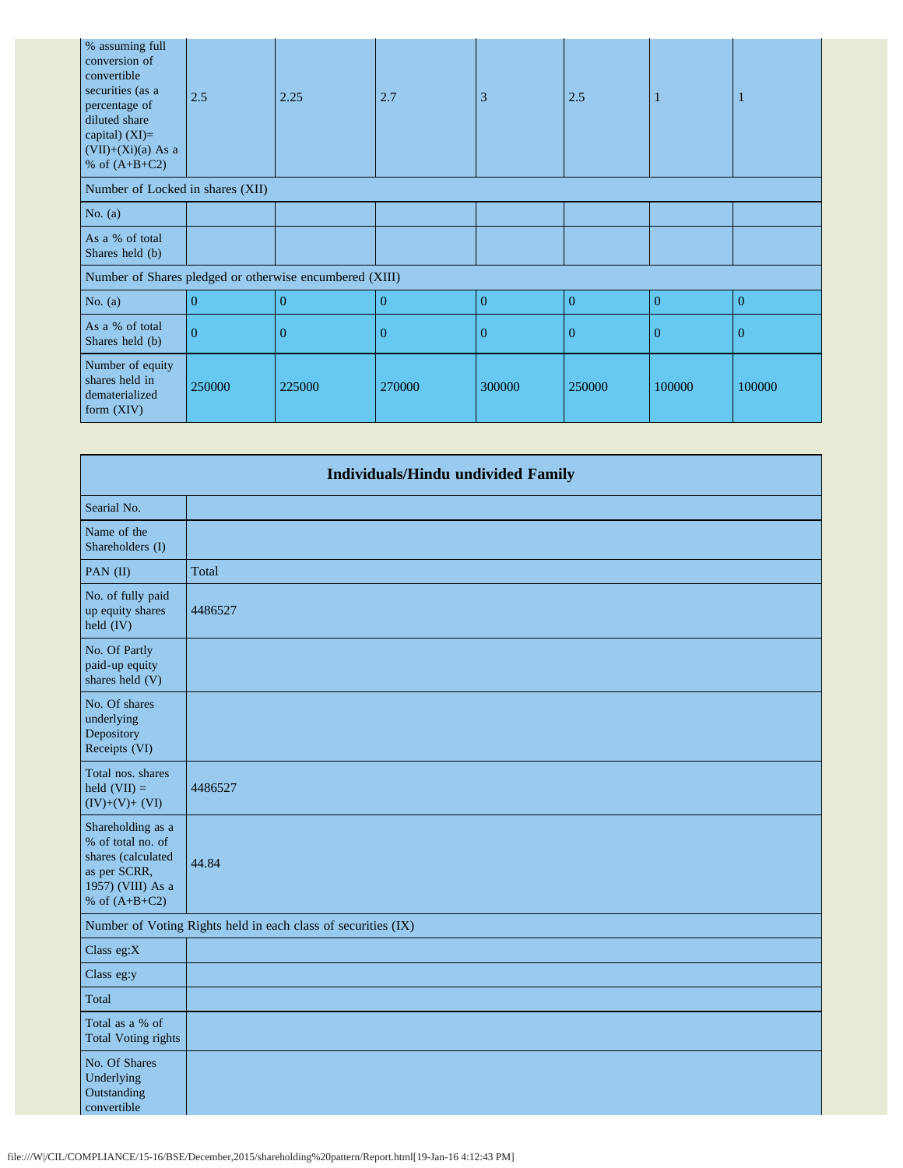| % assuming full<br>conversion of<br>convertible<br>securities (as a<br>percentage of<br>diluted share<br>capital) $(XI)=$<br>$(VII)+(Xi)(a)$ As a<br>% of $(A+B+C2)$ | 2.5      | 2.25     | 2.7            | 3              | 2.5      |                |          |
|----------------------------------------------------------------------------------------------------------------------------------------------------------------------|----------|----------|----------------|----------------|----------|----------------|----------|
| Number of Locked in shares (XII)                                                                                                                                     |          |          |                |                |          |                |          |
| No. $(a)$                                                                                                                                                            |          |          |                |                |          |                |          |
| As a % of total<br>Shares held (b)                                                                                                                                   |          |          |                |                |          |                |          |
| Number of Shares pledged or otherwise encumbered (XIII)                                                                                                              |          |          |                |                |          |                |          |
| No. $(a)$                                                                                                                                                            | $\Omega$ | $\Omega$ | $\Omega$       | $\overline{0}$ | $\theta$ | $\overline{0}$ | $\theta$ |
| As a % of total<br>Shares held (b)                                                                                                                                   | $\Omega$ | $\Omega$ | $\overline{0}$ | $\overline{0}$ | $\Omega$ | $\overline{0}$ | $\theta$ |
| Number of equity<br>shares held in<br>dematerialized<br>form (XIV)                                                                                                   | 250000   | 225000   | 270000         | 300000         | 250000   | 100000         | 100000   |

| <b>Individuals/Hindu undivided Family</b>                                                                            |                                                               |  |  |
|----------------------------------------------------------------------------------------------------------------------|---------------------------------------------------------------|--|--|
| Searial No.                                                                                                          |                                                               |  |  |
| Name of the<br>Shareholders (I)                                                                                      |                                                               |  |  |
| PAN (II)                                                                                                             | Total                                                         |  |  |
| No. of fully paid<br>up equity shares<br>held (IV)                                                                   | 4486527                                                       |  |  |
| No. Of Partly<br>paid-up equity<br>shares held (V)                                                                   |                                                               |  |  |
| No. Of shares<br>underlying<br>Depository<br>Receipts (VI)                                                           |                                                               |  |  |
| Total nos. shares<br>held $(VII) =$<br>$(IV)+(V)+(VI)$                                                               | 4486527                                                       |  |  |
| Shareholding as a<br>% of total no. of<br>shares (calculated<br>as per SCRR,<br>1957) (VIII) As a<br>% of $(A+B+C2)$ | 44.84                                                         |  |  |
|                                                                                                                      | Number of Voting Rights held in each class of securities (IX) |  |  |
| Class eg:X                                                                                                           |                                                               |  |  |
| Class eg:y                                                                                                           |                                                               |  |  |
| Total                                                                                                                |                                                               |  |  |
| Total as a % of<br><b>Total Voting rights</b>                                                                        |                                                               |  |  |
| No. Of Shares<br>Underlying<br>Outstanding<br>convertible                                                            |                                                               |  |  |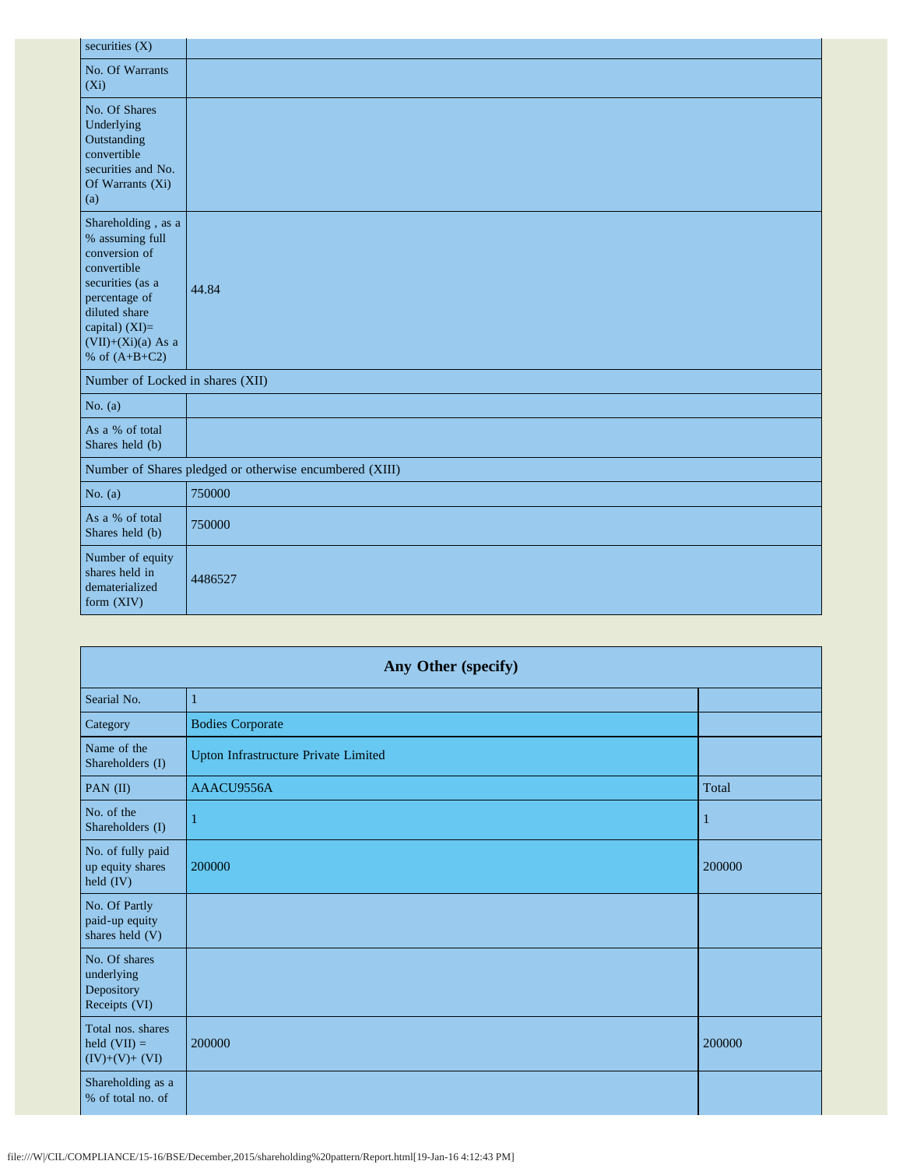| securities (X)                                                                                                                                                                           |                                                         |
|------------------------------------------------------------------------------------------------------------------------------------------------------------------------------------------|---------------------------------------------------------|
| No. Of Warrants<br>$(X_i)$                                                                                                                                                               |                                                         |
| No. Of Shares<br>Underlying<br>Outstanding<br>convertible<br>securities and No.<br>Of Warrants (Xi)<br>(a)                                                                               |                                                         |
| Shareholding, as a<br>% assuming full<br>conversion of<br>convertible<br>securities (as a<br>percentage of<br>diluted share<br>capital) (XI)=<br>$(VII)+(Xi)(a)$ As a<br>% of $(A+B+C2)$ | 44.84                                                   |
| Number of Locked in shares (XII)                                                                                                                                                         |                                                         |
| No. $(a)$                                                                                                                                                                                |                                                         |
| As a % of total<br>Shares held (b)                                                                                                                                                       |                                                         |
|                                                                                                                                                                                          | Number of Shares pledged or otherwise encumbered (XIII) |
| No. $(a)$                                                                                                                                                                                | 750000                                                  |
| As a % of total<br>Shares held (b)                                                                                                                                                       | 750000                                                  |
| Number of equity<br>shares held in<br>dematerialized<br>form (XIV)                                                                                                                       | 4486527                                                 |

| Any Other (specify)                                        |                                      |        |  |
|------------------------------------------------------------|--------------------------------------|--------|--|
| Searial No.                                                | 1                                    |        |  |
| Category                                                   | <b>Bodies Corporate</b>              |        |  |
| Name of the<br>Shareholders (I)                            | Upton Infrastructure Private Limited |        |  |
| PAN (II)                                                   | AAACU9556A                           | Total  |  |
| No. of the<br>Shareholders (I)                             | п                                    | 1      |  |
| No. of fully paid<br>up equity shares<br>held (IV)         | 200000                               | 200000 |  |
| No. Of Partly<br>paid-up equity<br>shares held (V)         |                                      |        |  |
| No. Of shares<br>underlying<br>Depository<br>Receipts (VI) |                                      |        |  |
| Total nos. shares<br>held $(VII) =$<br>$(IV)+(V)+(VI)$     | 200000                               | 200000 |  |
| Shareholding as a<br>% of total no. of                     |                                      |        |  |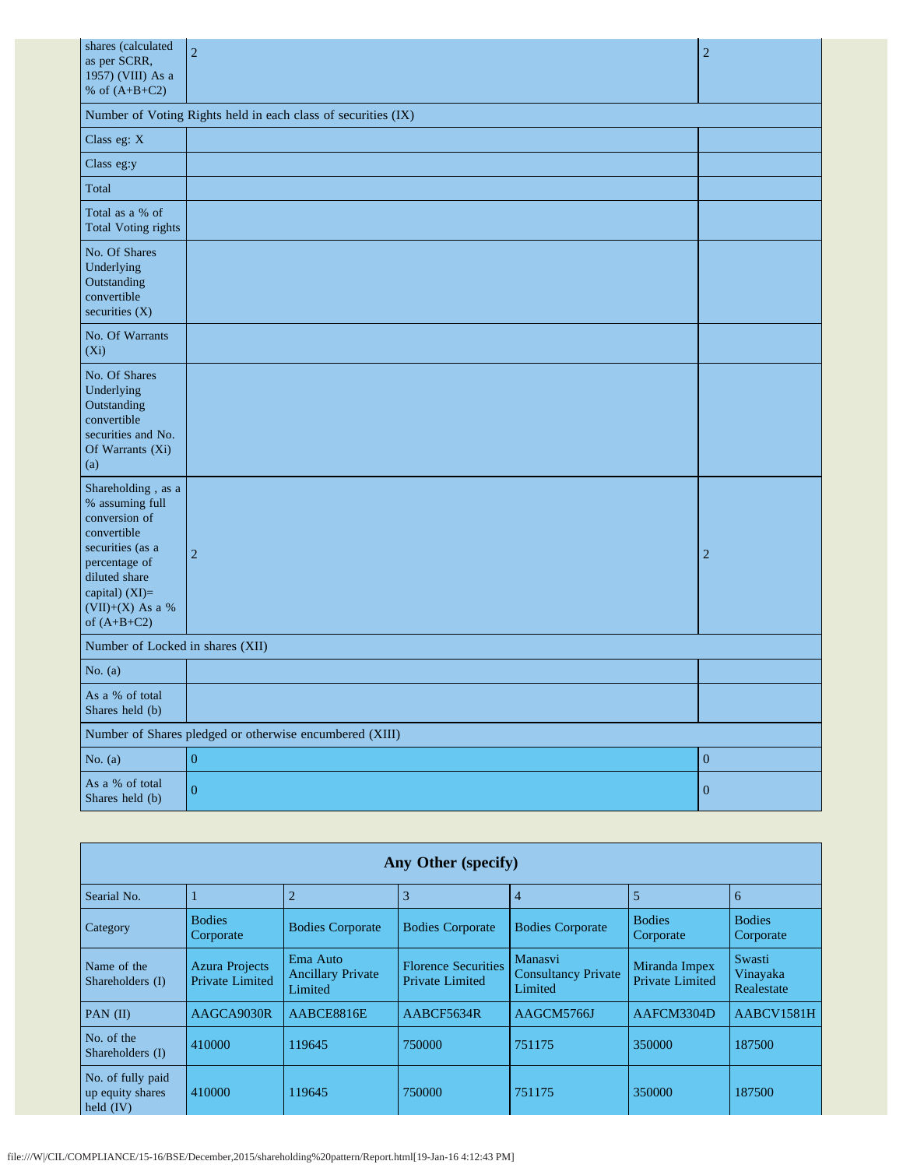| shares (calculated<br>as per SCRR,<br>1957) (VIII) As a                                                                                                                            | $\overline{2}$                                                | $\overline{2}$   |
|------------------------------------------------------------------------------------------------------------------------------------------------------------------------------------|---------------------------------------------------------------|------------------|
| % of $(A+B+C2)$                                                                                                                                                                    |                                                               |                  |
|                                                                                                                                                                                    | Number of Voting Rights held in each class of securities (IX) |                  |
| Class eg: X                                                                                                                                                                        |                                                               |                  |
| Class eg:y                                                                                                                                                                         |                                                               |                  |
| Total                                                                                                                                                                              |                                                               |                  |
| Total as a % of<br><b>Total Voting rights</b>                                                                                                                                      |                                                               |                  |
| No. Of Shares<br>Underlying<br>Outstanding<br>convertible<br>securities (X)                                                                                                        |                                                               |                  |
| No. Of Warrants<br>(Xi)                                                                                                                                                            |                                                               |                  |
| No. Of Shares<br>Underlying<br>Outstanding<br>convertible<br>securities and No.<br>Of Warrants (Xi)<br>(a)                                                                         |                                                               |                  |
| Shareholding, as a<br>% assuming full<br>conversion of<br>convertible<br>securities (as a<br>percentage of<br>diluted share<br>capital) (XI)=<br>(VII)+(X) As a %<br>of $(A+B+C2)$ | $\overline{2}$                                                | $\overline{c}$   |
| Number of Locked in shares (XII)                                                                                                                                                   |                                                               |                  |
| No. $(a)$                                                                                                                                                                          |                                                               |                  |
| As a % of total<br>Shares held (b)                                                                                                                                                 |                                                               |                  |
|                                                                                                                                                                                    | Number of Shares pledged or otherwise encumbered (XIII)       |                  |
| No. $(a)$                                                                                                                                                                          | $\mathbf{0}$                                                  | $\boldsymbol{0}$ |
| As a % of total<br>Shares held (b)                                                                                                                                                 | $\mathbf{0}$                                                  | $\boldsymbol{0}$ |

|                                                      |                                          |                                                 | Any Other (specify)                           |                                                  |                                         |                                  |
|------------------------------------------------------|------------------------------------------|-------------------------------------------------|-----------------------------------------------|--------------------------------------------------|-----------------------------------------|----------------------------------|
| Searial No.                                          |                                          | $\overline{2}$                                  | 3                                             | $\overline{4}$                                   | 5                                       | 6                                |
| Category                                             | <b>Bodies</b><br>Corporate               | <b>Bodies Corporate</b>                         | <b>Bodies Corporate</b>                       | <b>Bodies Corporate</b>                          | <b>Bodies</b><br>Corporate              | <b>Bodies</b><br>Corporate       |
| Name of the<br>Shareholders (I)                      | <b>Azura Projects</b><br>Private Limited | Ema Auto<br><b>Ancillary Private</b><br>Limited | <b>Florence Securities</b><br>Private Limited | Manasvi<br><b>Consultancy Private</b><br>Limited | Miranda Impex<br><b>Private Limited</b> | Swasti<br>Vinayaka<br>Realestate |
| PAN $(II)$                                           | AAGCA9030R                               | AABCE8816E                                      | AABCF5634R                                    | AAGCM5766J                                       | AAFCM3304D                              | AABCV1581H                       |
| No. of the<br>Shareholders (I)                       | 410000                                   | 119645                                          | 750000                                        | 751175                                           | 350000                                  | 187500                           |
| No. of fully paid<br>up equity shares<br>held $(IV)$ | 410000                                   | 119645                                          | 750000                                        | 751175                                           | 350000                                  | 187500                           |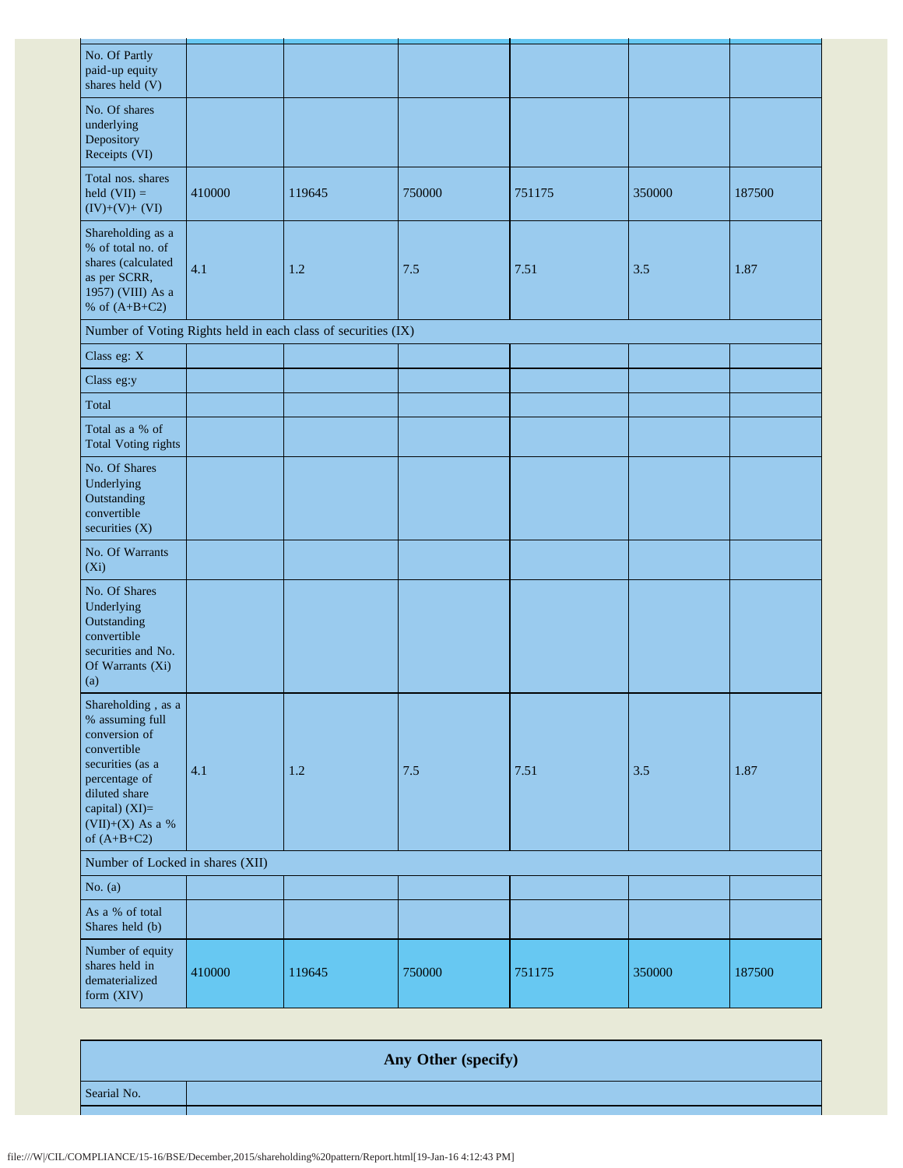| No. Of Partly<br>paid-up equity<br>shares held (V)                                                                                                                                 |        |                                                               |        |        |        |        |
|------------------------------------------------------------------------------------------------------------------------------------------------------------------------------------|--------|---------------------------------------------------------------|--------|--------|--------|--------|
| No. Of shares<br>underlying<br>Depository<br>Receipts (VI)                                                                                                                         |        |                                                               |        |        |        |        |
| Total nos. shares<br>held $(VII) =$<br>$(IV)+(V)+(VI)$                                                                                                                             | 410000 | 119645                                                        | 750000 | 751175 | 350000 | 187500 |
| Shareholding as a<br>% of total no. of<br>shares (calculated<br>as per SCRR,<br>1957) (VIII) As a<br>% of $(A+B+C2)$                                                               | 4.1    | 1.2                                                           | 7.5    | 7.51   | 3.5    | 1.87   |
|                                                                                                                                                                                    |        | Number of Voting Rights held in each class of securities (IX) |        |        |        |        |
| Class eg: X                                                                                                                                                                        |        |                                                               |        |        |        |        |
| Class eg:y                                                                                                                                                                         |        |                                                               |        |        |        |        |
| Total                                                                                                                                                                              |        |                                                               |        |        |        |        |
| Total as a % of<br><b>Total Voting rights</b>                                                                                                                                      |        |                                                               |        |        |        |        |
| No. Of Shares<br>Underlying<br>Outstanding<br>convertible<br>securities (X)                                                                                                        |        |                                                               |        |        |        |        |
| No. Of Warrants<br>(Xi)                                                                                                                                                            |        |                                                               |        |        |        |        |
| No. Of Shares<br>Underlying<br>Outstanding<br>convertible<br>securities and No.<br>Of Warrants (Xi)<br>(a)                                                                         |        |                                                               |        |        |        |        |
| Shareholding, as a<br>% assuming full<br>conversion of<br>convertible<br>securities (as a<br>percentage of<br>diluted share<br>capital) (XI)=<br>(VII)+(X) As a %<br>of $(A+B+C2)$ | 4.1    | $1.2\,$                                                       | 7.5    | 7.51   | 3.5    | 1.87   |
| Number of Locked in shares (XII)                                                                                                                                                   |        |                                                               |        |        |        |        |
| No. $(a)$                                                                                                                                                                          |        |                                                               |        |        |        |        |
| As a % of total<br>Shares held (b)                                                                                                                                                 |        |                                                               |        |        |        |        |
| Number of equity<br>shares held in<br>dematerialized<br>form (XIV)                                                                                                                 | 410000 | 119645                                                        | 750000 | 751175 | 350000 | 187500 |

**Any Other (specify)** Searial No.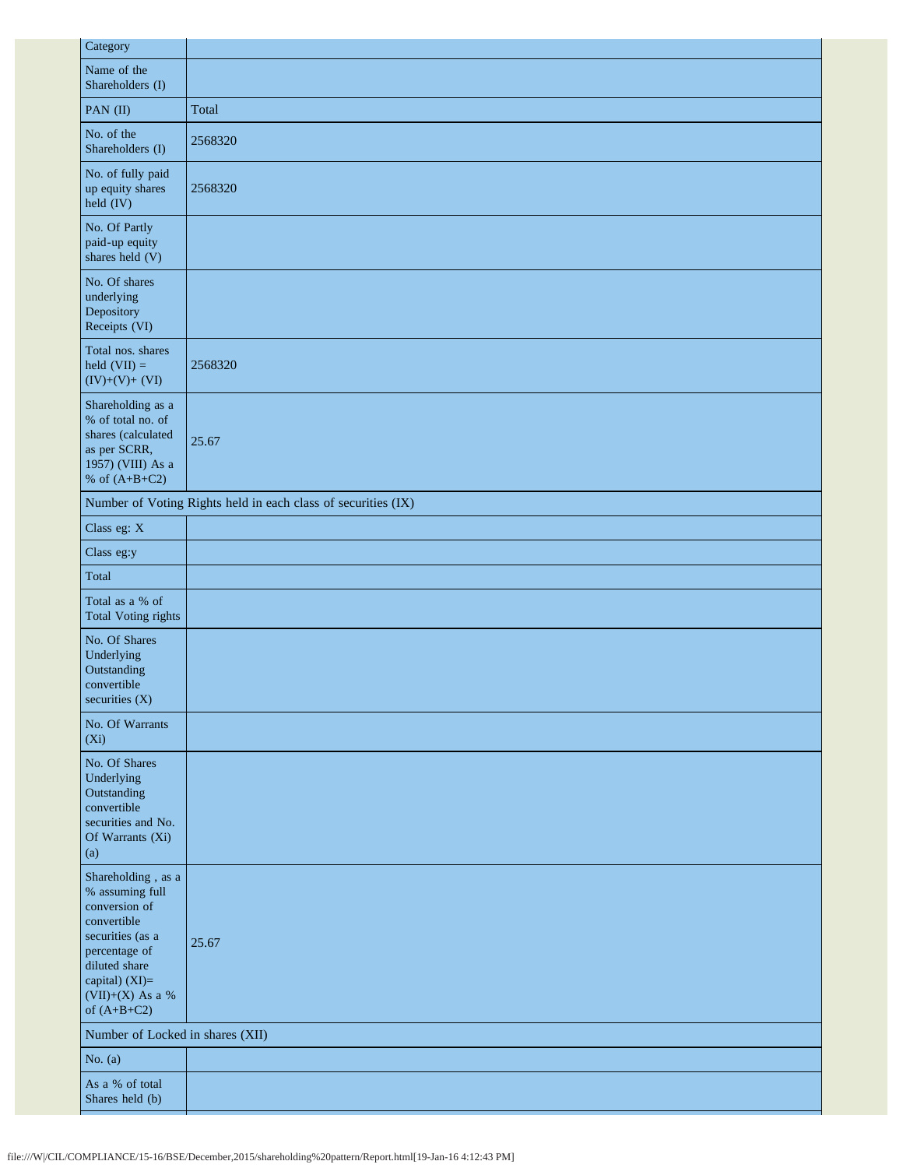| Category                                                                                                                                                                           |                                                               |
|------------------------------------------------------------------------------------------------------------------------------------------------------------------------------------|---------------------------------------------------------------|
| Name of the<br>Shareholders (I)                                                                                                                                                    |                                                               |
| PAN (II)                                                                                                                                                                           | Total                                                         |
| No. of the<br>Shareholders (I)                                                                                                                                                     | 2568320                                                       |
| No. of fully paid<br>up equity shares<br>$\text{held (IV)}$                                                                                                                        | 2568320                                                       |
| No. Of Partly<br>paid-up equity<br>shares held (V)                                                                                                                                 |                                                               |
| No. Of shares<br>underlying<br>Depository<br>Receipts (VI)                                                                                                                         |                                                               |
| Total nos. shares<br>held $(VII) =$<br>$(IV)+(V)+(VI)$                                                                                                                             | 2568320                                                       |
| Shareholding as a<br>% of total no. of<br>shares (calculated<br>as per SCRR,<br>1957) (VIII) As a<br>% of $(A+B+C2)$                                                               | 25.67                                                         |
|                                                                                                                                                                                    | Number of Voting Rights held in each class of securities (IX) |
| Class eg: X                                                                                                                                                                        |                                                               |
| Class eg:y                                                                                                                                                                         |                                                               |
| Total                                                                                                                                                                              |                                                               |
| Total as a % of<br><b>Total Voting rights</b>                                                                                                                                      |                                                               |
| No. Of Shares<br>Underlying<br>Outstanding<br>convertible<br>securities (X)                                                                                                        |                                                               |
| No. Of Warrants<br>$(X_i)$                                                                                                                                                         |                                                               |
| No. Of Shares<br>Underlying<br>Outstanding<br>convertible<br>securities and No.<br>Of Warrants (Xi)<br>(a)                                                                         |                                                               |
| Shareholding, as a<br>% assuming full<br>conversion of<br>convertible<br>securities (as a<br>percentage of<br>diluted share<br>capital) (XI)=<br>(VII)+(X) As a %<br>of $(A+B+C2)$ | 25.67                                                         |
| Number of Locked in shares (XII)                                                                                                                                                   |                                                               |
| No. $(a)$                                                                                                                                                                          |                                                               |
| As a % of total<br>Shares held (b)                                                                                                                                                 |                                                               |